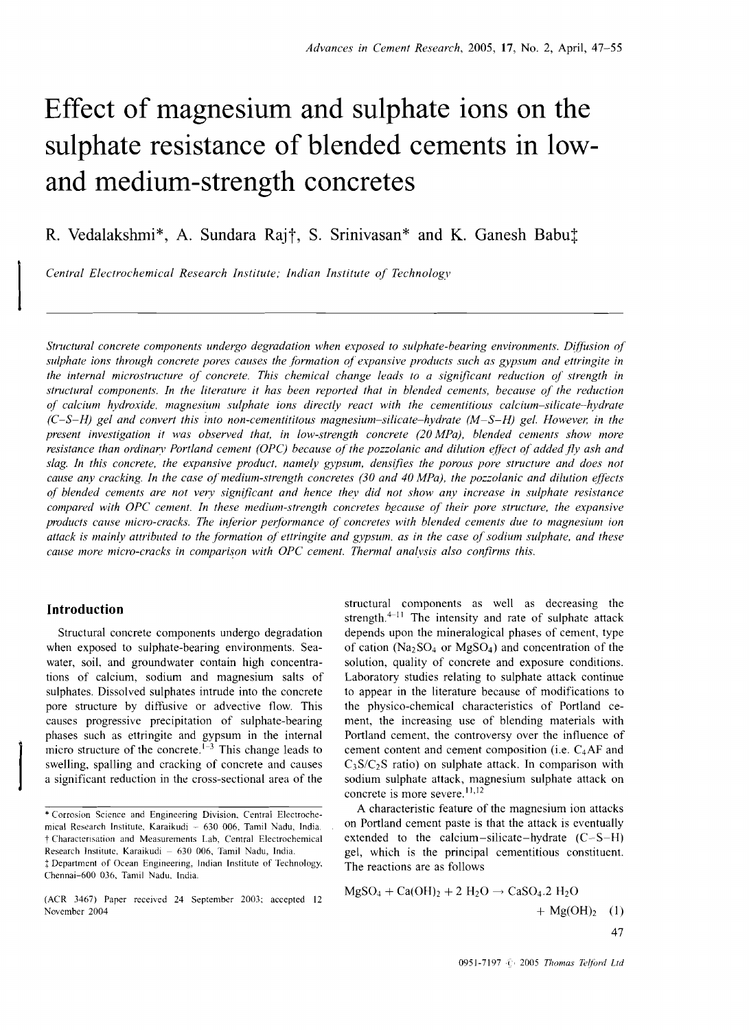# **Effect of magnesium and sulphate ions on the sulphate resistance of blended cements in lowand medium-strength concretes**

R. Vedalakshmi\*, A. Sundara Raj†, S. Srinivasan\* and K. Ganesh Babu $\ddagger$ 

I *Central Electrochemical Research Institute; Indian Institute of Technology* 

*Structural concrete components undergo degradation when exposed to sulphate-bearing environments. Diffusion of sulphate ions through concrete pores causes the formation of expansive products such as gypsum and ettringite in the internal microstructure of concrete. This chemical change leads to a significant reduction of strength in structural components. In the literature it has been reported that in blended cements, because of the reduction of calcium hydroxide, magnesium sulphate ions directly react with the cementitious calcium-silicate-hydrate (C-S-H) gel and convert this into non-cementititous magnesium-silicate-hydrate (M-S-H) gel. However, in the present investigation it was observed that, in low-strength concrete (20 MPa), blended cements show more resistance than ordinary Portland cement (OPC) because of the pozzolanic and dilution effect of added fly ash and slag. In this concrete, the expansive product. namely gypsum, densifies the porous pore structure and does not cause any cracking. In the case of medium-strength concretes (30 and 40 MPa), the pozzolanic and dilution effects of blended cements are not very significant and hence they did not show any increase in sulphate resistance compared with OPC cement. In these medium-strength concretes because of their pore structure, the expansive products cause micro-cracks. The inferior performance of concretes with blended cements due to magnesium ion attack* is *mainly attributed to the formation of ettringite and gypsum. as in the case of sodium sulphate, and these cause more micro-cracks in comparison with OPC cement. Thermal analysis also confirms this.* 

Pr<br>
m<br>
sv<br>
a

Chennai-600 036, Tamil Nadu. India.

**Introduction**<br> **Introduction**<br> **Introduction**<br> **Introduction**<br> **Introduction**<br> **Introduction**<br> **Introduction** Structural concrete components undergo degradation depends upon the mineralogical phases of cement, type when exposed to sulphate-bearing environments. Sea- of cation  $(Na_2SO_4)$  or  $MgSO_4$ ) and concentration of the water, soil, and groundwater contain high concentra-<br>solution, quality of concrete and exposure conditions. tions of calcium, sodium and magnesium salts of Laboratory studies relating to sulphate attack continue sulphates. Dissolved sulphates intrude into the concrete to appear in the literature because of modifications to pore structure by diffusive or advective flow. This the physico-chemical characteristics of Portland cecauses progressive precipitation of sulphate-bearing ment, the increasing use of blending materials with phases such as ettringite and gypsum in the internal Portland cement, the controversy over the influence of micro structure of the concrete.<sup> $1-3$ </sup> This change leads to cement content and cement composition (i.e. C<sub>4</sub>AF and swelling, spalling and cracking of concrete and causes  $C_3S/C_2S$  ratio) on sulphate attack. In comparison with a significant reduction in the cross-sectional area of the sodium sulphate attack, magnesium sulphate attack on concrete is more severe.<sup>11,12</sup>

\* Corrosion Science and Engineering Division. Central Electroche-<br>
A characteristic feature of the magnesium ion attacks on Portland cement paste is that the attack is eventually t Charactensation and Measurements Lab, Central Electrochemical extended to the calcium-silicate-hydrate (C- S-H) The reactions are as follows

$$
MgSO_4 + Ca(OH)_2 + 2 H_2O \rightarrow CaSO_4.2 H_2O
$$
\n
$$
+ Mg(OH)_2 + 2 H_2O \rightarrow CaSO_4.2 H_2O
$$
\n
$$
+ Mg(OH)_2 \quad (1)
$$
\n
$$
+ 47
$$

mical Research Institute, Karaikudi - 630 006, Tamil Nadu, India. Research Institute, Karaikudi - 630 006, Tamil Nadu, India. gel, which is the principal cementitious constituent. t Department of Ocean Engineering, Indian Institute of Technology.

<sup>(</sup>ACR 3467) Paper received 24 September 2003; accepted 12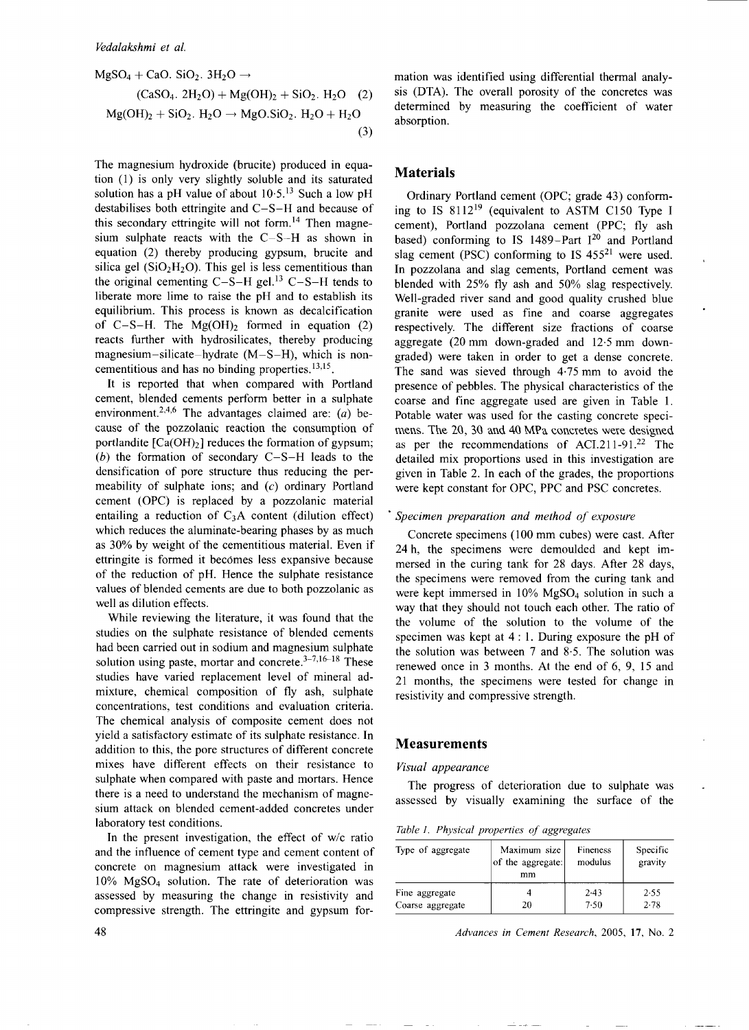$$
MgSO_4 + CaO. \text{ SiO}_2. 3H_2O \rightarrow
$$
  
(CaSO\_4. 2H\_2O) + Mg(OH)<sub>2</sub> + SiO<sub>2</sub>. H<sub>2</sub>O (2)  

$$
Mg(OH)2 + SiO2. H2O \rightarrow MgO.SiO2. H2O + H2O
$$
(3)

The magnesium hydroxide (brucite) produced in equation (1) is only very slightly soluble and its saturated solution has a pH value of about  $10.5$ .<sup>13</sup> Such a low pH destabilises both ettringite and C-S-H and because of this secondary ettringite will not form.<sup>14</sup> Then magnesium sulphate reacts with the C-S-H as shown in equation (2) thereby producing gypsum, brucite and silica gel ( $SiO<sub>2</sub>H<sub>2</sub>O$ ). This gel is less cementitious than the original cementing  $C-S-H$  gel.<sup>13</sup>  $C-S-H$  tends to liberate more lime to raise the pH and to establish its equilibrium. This process is known as decalcification of C-S-H. The  $Mg(OH)_2$  formed in equation (2) reacts further with hydrosilicates, thereby producing magnesium-silicate-hydrate (M-S-H), which is noncementitious and has no binding properties. 13,15.

It is reported that when compared with Portland cement, blended cements perform better in a sulphate environment.<sup>2,4,6</sup> The advantages claimed are: (a) because of the pozzolanic reaction the consumption of portlandite  $[Ca(OH)<sub>2</sub>]$  reduces the formation of gypsum; (b) the formation of secondary C-S-H leads to the densification of pore structure thus reducing the permeability of sulphate ions; and (c) ordinary Portland cement (OPC) is replaced by a pozzolanic material entailing a reduction of  $C_3A$  content (dilution effect) which reduces the aluminate-bearing phases by as much as 30% by weight of the cementitious material. Even if ettringite is formed it becomes less expansive because of the reduction of pH. Hence the sulphate resistance values of blended cements are due to both pozzolanic as well as dilution effects.

While reviewing the literature, it was found that the studies on the sulphate resistance of blended cements had been carried out in sodium and magnesium sulphate solution using paste, mortar and concrete. $3-7,16-18$  These studies have varied replacement level of mineral admixture, chemical composition of fly ash, sulphate concentrations, test conditions and evaluation criteria. The chemical analysis of composite cement does not yield a satisfactory estimate of its sulphate resistance. In addition to this, the pore structures of different concrete mixes have different effects on their resistance to sulphate when compared with paste and mortars. Hence there is a need to understand the mechanism of magnesium attack on blended cement-added concretes under laboratory test conditions.

In the present investigation, the effect of *wlc* ratio and the influence of cement type and cement content of concrete on magnesium attack were investigated in 10% MgS04 solution. The rate of deterioration was assessed by measuring the change in resistivity and compressive strength. The ettringite and gypsum formation was identified using differential thermal analysis (DTA). The overall porosity of the concretes was determined by measuring the coefficient of water absorption.

# **Materials**

Ordinary Portland cement (OPC; grade 43) conforming to IS 811219 (equivalent to ASTM CI50 Type I cement), Portland pozzolana cement (PPC; fly ash based) conforming to IS 1489-Part  $I^{20}$  and Portland slag cement (PSC) conforming to IS 455<sup>21</sup> were used. In pozzolana and slag cements, Portland cement was blended with 25% fly ash and 50% slag respectively. Well-graded river sand and good quality crushed blue granite were used as fine and coarse aggregates respectively. The different size fractions of coarse aggregate (20 mm down-graded and 12·5 mm downgraded) were taken in order to get a dense concrete. The sand was sieved through 4·75 mm to avoid the presence of pebbles. The physical characteristics of the coarse and fine aggregate used are given in Table I. Potable water was used for the casting concrete specimens. The 2G, 3G and 4G MPa concretes were designed as per the recommendations of ACI.211-91.22 The detailed mix proportions used in this investigation are given in Table 2. In each of the grades, the proportions were kept constant for OPC, PPC and PSC concretes.

#### *• Specimen preparation and method of exposure*

Concrete specimens (100 mm cubes) were cast. After 24 h, the specimens were demoulded and kept immersed in the curing tank for 28 days. After 28 days, the specimens were removed from the curing tank and were kept immersed in 10% MgS04 solution in such a way that they should not touch each other. The ratio of the volume of the solution to the volume of the specimen was kept at 4 : I. During exposure the pH of the solution was between 7 and 8·5. The solution was renewed once in 3 months. At the end of 6, 9, 15 and 21 months, the specimens were tested for change in resistivity and compressive strength.

# **Measurements**

#### *Visual appearance*

The progress of deterioration due to sulphate was assessed by visually examining the surface of the

*Table* 1. *Physical properties of aggregates* 

| Type of aggregate | Maximum size<br>of the aggregate:<br>mm | Fineness<br>modulus | Specific<br>gravity |
|-------------------|-----------------------------------------|---------------------|---------------------|
| Fine aggregate    | 20                                      | 2.43                | 2.55                |
| Coarse aggregate  |                                         | 7.50                | 2.78                |

48 *Advances* in *Cement Research,* 2005, 17, No.2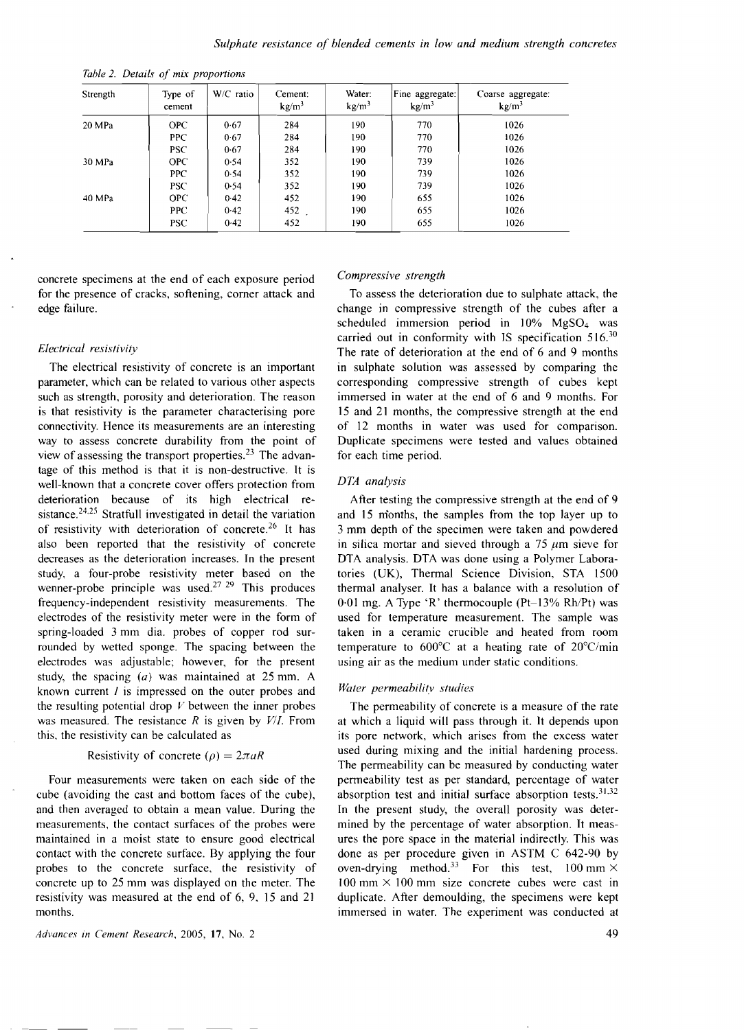| Strength | Type of<br>cement | W/C ratio | Cement:<br>kg/m <sup>3</sup> | Water:<br>kg/m <sup>3</sup> | Fine aggregate:<br>kg/m <sup>3</sup> | Coarse aggregate:<br>kg/m <sup>3</sup> |
|----------|-------------------|-----------|------------------------------|-----------------------------|--------------------------------------|----------------------------------------|
| 20 MPa   | OPC.              | 0.67      | 284                          | 190                         | 770                                  | 1026                                   |
|          | PPC.              | 0.67      | 284                          | 190                         | 770                                  | 1026                                   |
|          | <b>PSC</b>        | 0.67      | 284                          | 190                         | 770                                  | 1026                                   |
| 30 MPa   | <b>OPC</b>        | 0.54      | 352                          | 190                         | 739                                  | 1026                                   |
|          | <b>PPC</b>        | 0.54      | 352                          | 190                         | 739                                  | 1026                                   |
|          | PSC <sup>-</sup>  | 0.54      | 352                          | 190                         | 739                                  | 1026                                   |
| 40 MPa   | <b>OPC</b>        | 0.42      | 452                          | 190                         | 655                                  | 1026                                   |
|          | PPC.              | 0.42      | 452                          | 190                         | 655                                  | 1026                                   |
|          | <b>PSC</b>        | 0.42      | 452                          | 190                         | 655                                  | 1026                                   |

*Table* 2. *Details of mix proportions* 

concrete specimens at the end of each exposure period for the presence of cracks, softening, corner attack and edge failure.

#### *Electrical resistivity*

The electrical resistivity of concrete is an important parameter, which can be related to various other aspects such as strength, porosity and deterioration. The reason is that resistivity is the parameter characterising pore connectivity. Hence its measurements are an interesting way to assess concrete durability from the point of view of assessing the transport properties.<sup>23</sup> The advantage of this method is that it is non-destructive. It is well-known that a concrete cover offers protection from deterioration because of its high electrical resistance.<sup>24,25</sup> Stratfull investigated in detail the variation of resistivity with deterioration of concrete.<sup>26</sup> It has also been reported that the resistivity of concrete decreases as the deterioration increases. In the present study, a four-probe resistivity meter based on the wenner-probe principle was used.<sup>27 29</sup> This produces frequency-independent resistivity measurements. The electrodes of the resistivity meter were in the form of spring-loaded 3 mm dia. probes of copper rod surrounded by wetted sponge. The spacing between the electrodes was adjustable; however, for the present study, the spacing  $(a)$  was maintained at 25 mm. A known current  $I$  is impressed on the outer probes and the resulting potential drop  $V$  between the inner probes was measured. The resistance *R* is given by *V/1.* From this, the resistivity can be calculated as

#### Resistivity of concrete  $(\rho) = 2\pi aR$

Four measurements were taken on each side of the cube (avoiding the cast and bottom faces of the cube), and then averaged to obtain a mean value. During the measurements, the contact surfaces of the probes were maintained in a moist state to ensure good electrical contact with the concrete surface. By applying the four probes to the concrete surface, the resistivity of concrete up to 25 mm was displayed on the meter. The resistivity was measured at the end of 6, 9. 15 and 2I months.

*Advances* in *Cement Research.* 2005, **17,** NO.2

#### *Compressive strength*

To assess the deterioration due to sulphate attack, the change in compressive strength of the cubes after a scheduled immersion period in 10% MgS04 was carried out in conformity with IS specification  $516<sup>30</sup>$ The rate of deterioration at the end of 6 and 9 months in sulphate solution was assessed by comparing the corresponding compressive strength of cubes kept immersed in water at the end of 6 and 9 months. For 15 and 21 months, the compressive strength at the end of 12 months in water was used for comparison. Duplicate specimens were tested and values obtained for each time period.

#### *DTA analysis*

After testing the compressive strength at the end of 9 and 15 months, the samples from the top layer up to 3 mm depth of the specimen were taken and powdered in silica mortar and sieved through a  $75 \mu m$  sieve for DTA analysis. DTA was done using a Polymer Laboratories (UK), Thermal Science Division, STA 1500 thermal analyser. It has a balance with a resolution of  $0.01$  mg. A Type 'R' thermocouple (Pt-13% Rh/Pt) was used for temperature measurement. The sample was taken in a ceramic crucible and heated from room temperature to 600°C at a heating rate of 20°C/min using air as the medium under static conditions.

#### *Water permeabilitv studies*

The permeability of concrete is a measure of the rate at which a liquid will pass through it. It depends upon its pore network, which arises from the excess water used during mixing and the initial hardening process. The permeability can be measured by conducting water permeability test as per standard, percentage of water absorption test and initial surface absorption tests.  $31.32$ In the present study, the overall porosity was determined by the percentage of water absorption. It measures the pore space in the material indirectly. This was done as per procedure given in ASTM C 642-90 by oven-drying method.<sup>33</sup> For this test,  $100 \text{ mm} \times$  $100 \text{ mm} \times 100 \text{ mm}$  size concrete cubes were cast in duplicate. After demoulding, the specimens were kept immersed in water. The experiment was conducted at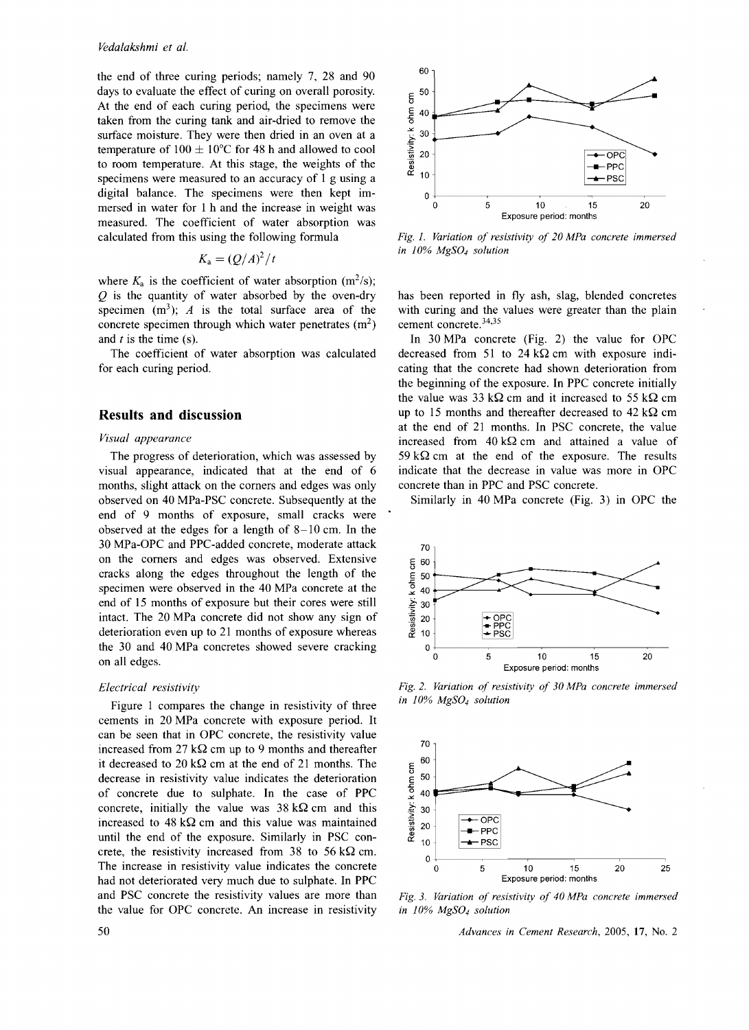the end of three curing periods; namely 7, 28 and 90 days to evaluate the effect of curing on overall porosity. At the end of each curing period, the specimens were taken from the curing tank and air-dried to remove the surface moisture. They were then dried in an oven at a temperature of  $100 \pm 10^{\circ}$ C for 48 h and allowed to cool to room temperature. At this stage, the weights of the specimens were measured to an accuracy of I g using a digital balance. The specimens were then kept immersed in water for I h and the increase in weight was measured. The coefficient of water absorption was calculated from this using the following formula

$$
K_{\rm a} = (Q/A)^2/t
$$

where  $K_a$  is the coefficient of water absorption (m<sup>2</sup>/s); *Q* is the quantity of water absorbed by the oven-dry specimen  $(m^3)$ ; *A* is the total surface area of the concrete specimen through which water penetrates  $(m<sup>2</sup>)$ and *t* is the time (s).

The coefficient of water absorption was calculated for each curing period.

# **Results and discussion**

#### *Visual appearance*

The progress of deterioration, which was assessed by visual appearance, indicated that at the end of 6 months, slight attack on the comers and edges was only observed on 40 MPa-PSC concrete. Subsequently at the end of 9 months of exposure, small cracks were observed at the edges for a length of 8-10 cm. In the 30 MPa-OPC and PPC-added concrete, moderate attack on the comers and edges was observed. Extensive cracks along the edges throughout the length of the specimen were observed in the 40 MPa concrete at the end of 15 months of exposure but their cores were still intact. The 20 MPa concrete did not show any sign of deterioration even up to 21 months of exposure whereas the 30 and 40 MPa concretes showed severe cracking on all edges.

#### *Electrical resistivity*

Figure 1 compares the change in resistivity of three cements in 20 MPa concrete with exposure period. It can be seen that in OPC concrete, the resistivity value increased from 27 k $\Omega$  cm up to 9 months and thereafter it decreased to  $20 \text{ k}\Omega$  cm at the end of 21 months. The decrease in resistivity value indicates the deterioration of concrete due to sulphate. In the case of PPC concrete, initially the value was  $38 \text{ k}\Omega$  cm and this increased to  $48 \text{ k}\Omega$  cm and this value was maintained until the end of the exposure. Similarly in PSC concrete, the resistivity increased from 38 to 56 k $\Omega$  cm. The increase in resistivity value indicates the concrete had not deteriorated very much due to sulphate. In PPC and PSC concrete the resistivity values are more than the value for OPC concrete. An increase in resistivity



*Fig.* 1" *Variation of resistivity of* 20 *MPa concrete immersed in 10% MgS04 solution* 

has been reported in fly ash, slag, blended concretes with curing and the values were greater than the plain cement concrete.<sup>34,35</sup>

In 30 MPa concrete (Fig. 2) the value for OPC decreased from 51 to 24 k $\Omega$  cm with exposure indicating that the concrete had shown deterioration from the beginning of the exposure. In PPC concrete initially the value was 33 k $\Omega$  cm and it increased to 55 k $\Omega$  cm up to 15 months and thereafter decreased to 42 k $\Omega$  cm at the end of 21 months. In PSC concrete, the value increased from  $40 \text{ k}\Omega$  cm and attained a value of 59 k $\Omega$  cm at the end of the exposure. The results indicate that the decrease in value was more in OPC concrete than in PPC and PSC concrete.

Similarly in 40 MPa concrete (Fig. 3) in OPC the



*Fig.* 2. *Variation of resistivity of 30 MPa concrete immersed in 10% MgS04 solution* 



*Fig.* 3. *Variation of resistivity of 40 MPa concrete immersed in 10% MgS04 solution*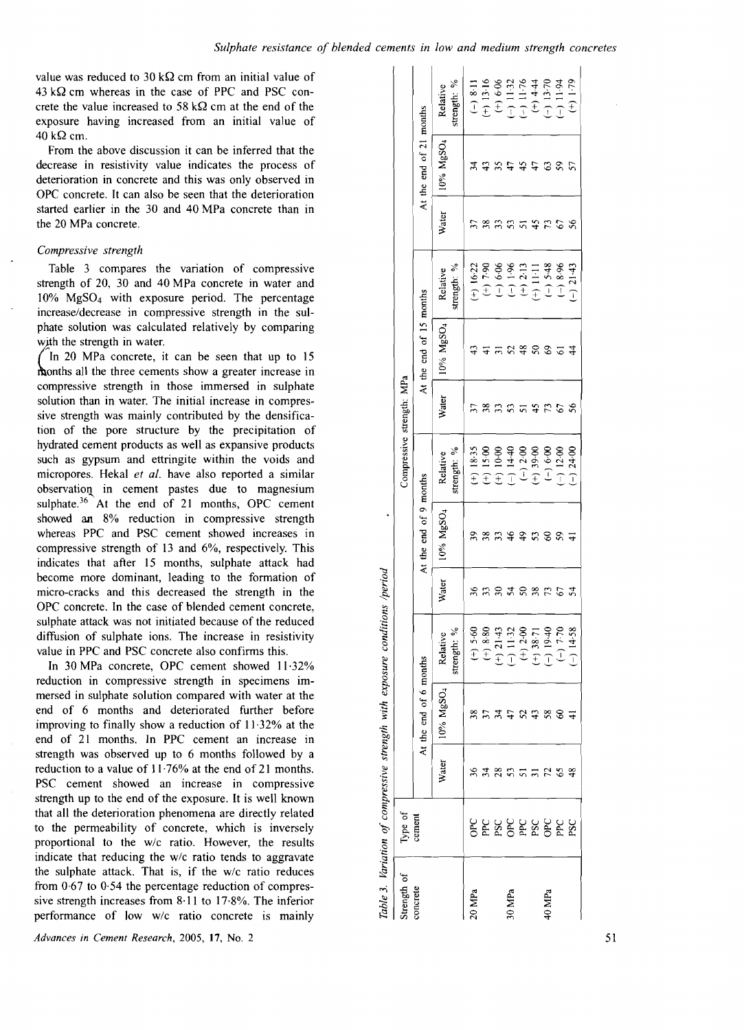value was reduced to 30 k $\Omega$  cm from an initial value of  $43 \text{ k}\Omega$  cm whereas in the case of PPC and PSC concrete the value increased to 58 k $\Omega$  cm at the end of the exposure having increased from an initial value of 40 kQ cm.

From the above discussion it can be inferred that the decrease in resistivity value indicates the process of deterioration in concrete and this was only observed in OPC concrete. It can also be seen that the deterioration started earlier in the 30 and 40 MPa concrete than in the 20 MPa concrete.

#### *Compressive strength*

Table 3 compares the variation of compressive strength of 20, 30 and 40 MPa concrete in water and 10% MgS04 with exposure period. The percentage increase/decrease in compressive strength in the sulphate solution was calculated relatively by comparing with the strength in water.

In 20 MPa concrete, it can be seen that up to 15 with the strength in water.<br>  $\int$  In 20 MPa concrete, it can be seen that up to 15<br>
months all the three cements show a greater increase in<br>
compressive strength in these immersed in substate compressive strength in those immersed in sulphate solution than in water. The initial increase in compressive strength was mainly contributed by the densification of the pore structure by the precipitation of hydrated cement products as well as expansive products such as gypsum and ettringite within the voids and micropores. Hekal *et al.* have also reported a similar observatioQ. in cement pastes due to magnesium sulphate. $36$  At the end of 21 months, OPC cement showed an 8% reduction in compressive strength whereas PPC and PSC cement showed increases in compressive strength of 13 and 6%, respectively. This indicates that after 15 months, sulphate attack had become more dominant, leading to the formation of micro-cracks and this decreased the strength in the OPC concrete. In the case of blended cement concrete, sulphate attack was not initiated because of the reduced diffusion of sulphate ions. The increase in resistivity value in PPC and PSC concrete also confirms this.

In 30 MPa concrete, OPC cement showed 11·32% reduction in compressive strength in specimens immersed in sulphate solution compared with water at the end of 6 months and deteriorated further before improving to finally show a reduction of 11·32% at the end of 21 months. In PPC cement an increase in strength was observed up to 6 months followed by a reduction to a value of II·76% at the end of 21 months. PSC cement showed an increase in compressive strength up to the end of the exposure. It is well known that all the deterioration phenomena are directly related to the permeability of concrete, which is inversely proportional to the w/c ratio. However, the results indicate that reducing the w/c ratio tends to aggravate the sulphate attack. That is, if the w/c ratio reduces from  $0.67$  to  $0.54$  the percentage reduction of compressive strength increases from 8·11 to 17·8%. The inferior performance of low w/c ratio concrete is mainly

| Strength of | Type of                       |                 |                        |                                                                          |              |                        | Compressive strength: MPa |       |                         |                                                                            |              |                         |                          |
|-------------|-------------------------------|-----------------|------------------------|--------------------------------------------------------------------------|--------------|------------------------|---------------------------|-------|-------------------------|----------------------------------------------------------------------------|--------------|-------------------------|--------------------------|
| concrete    | cement                        |                 | At the end of 6 months |                                                                          |              | At the end of 9 months |                           |       | At the end of 15 months |                                                                            |              | At the end of 21 months |                          |
|             |                               | Water           | 10% MgSO <sub>4</sub>  | strength: %<br>Relative                                                  | Water        | 10% MgSO <sub>4</sub>  | strength: %<br>Relative   | Water | 10% MgSO <sub>4</sub>   | strength: %<br>Relative                                                    | <b>Water</b> | 10% MgSO <sub>4</sub>   | strength: %<br>Relative  |
| 20 MPa      |                               | 36              | 38                     | $(+)$ 5.60                                                               |              |                        | $(+) 18.35$               |       |                         | $(+) 16.22$                                                                |              | र्ज                     | $(-)$ 8:11               |
|             | <b>PERSERBER</b><br>BERSERBER | 34              |                        |                                                                          |              | 39<br>38               | $(+) 15.00$               | 38    |                         | $(+)$ 7.90                                                                 | 38           | $\ddot{ }$              | $(+)$ 13.16              |
|             |                               | 28              | 34                     |                                                                          | ຂ            | 53                     | $(+) 10.00$               | 53    |                         | $(-) 6.06$                                                                 | 33           | 35                      | $(+) 6.06$               |
| 30 MPa      |                               | 53              | 47                     | (+) 8.80<br>(+) 21.43<br>(-) 11.32<br>(+) 2.00<br>(+) 38.71<br>(-) 19.40 | 24           | 46                     | $(-) 14.40$               | S     | 25                      |                                                                            |              |                         | $(-) 11.32$<br>(-) 11.76 |
|             |                               | $5\overline{5}$ | 52                     |                                                                          | $50\,$       |                        | $(-) 2.00$                | 51    | 48                      | $\begin{array}{c} (-) 1.96 \\ \textcolor{blue}{\bigcirc} 2.13 \end{array}$ |              | 45                      |                          |
|             |                               |                 |                        |                                                                          | 38           | 9.58                   | $(+) 39.00$               | 45    | $50\,$                  | $(+)$ 11.11                                                                | 45           |                         | $(+) 4.44$               |
| 40 MPa      |                               |                 | 58                     |                                                                          | $\mathbb{Z}$ |                        | $(-) 6.00$                | 73    | $\Im$                   | $(-)$ 5.48                                                                 | 52           | $\mathcal{C}$           | $(-) 13.70$              |
|             |                               | 72<br>65        | 8                      | $(-) 7.70$                                                               | 5            | 59                     | $(-) 12.00$               | 67    | ್                       | $(-) 8.96$                                                                 | 67           | 59                      | $(-) 11.94$              |
|             |                               | 48              |                        | $(-) 14.58$                                                              | 24           |                        | $(-) 24.00$               | 56    | $\frac{4}{4}$           | $(-) 21.43$                                                                | 8            | 57                      | $(+)$ (+)                |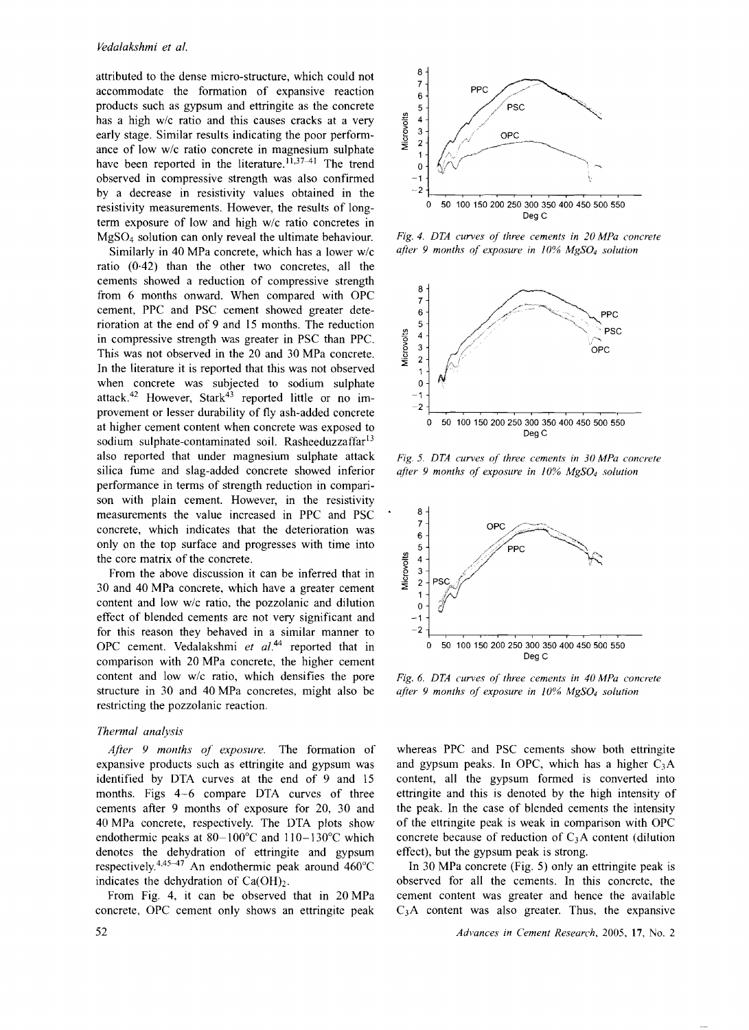attributed to the dense micro-structure, which could not accommodate the formation of expansive reaction products such as gypsum and ettringite as the concrete has a high w/c ratio and this causes cracks at a very early stage. Similar results indicating the poor performance of low w/c ratio concrete in magnesium sulphate have been reported in the literature.  $11,37-41$  The trend observed in compressive strength was also confirmed by a decrease in resistivity values obtained in the resistivity measurements. However, the results of longterm exposure of low and high w/c ratio concretes in MgS04 solution can only reveal the ultimate behaviour.

Similarly in 40 MPa concrete, which has a lower w/c ratio (0-42) than the other two concretes, all the cements showed a reduction of compressive strength from 6 months onward. When compared with OPC cement, PPC and PSC cement showed greater deterioration at the end of 9 and 15 months. The reduction in compressive strength was greater in PSC than PPC. This was not observed in the 20 and 30 MPa concrete. In the literature it is reported that this was not observed when concrete was subjected to sodium sulphate attack.<sup>42</sup> However, Stark<sup>43</sup> reported little or no improvement or lesser durability of fly ash-added concrete at higher cement content when concrete was exposed to sodium sulphate-contaminated soil. Rasheeduzzaffar<sup>13</sup> also reported that under magnesium sulphate attack silica fume and slag-added concrete showed inferior performance in terms of strength reduction in comparison with plain cement. However, in the resistivity measurements the value increased in PPC and PSC concrete, which indicates that the deterioration was only on the top surface and progresses with time into the core matrix of the concrete.

From the above discussion it can be inferred that in 30 and 40 MPa concrete, which have a greater cement content and low w/c ratio. the pozzolanic and dilution effect of blended cements are not very significant and for this reason they behaved in a similar manner to OPC cement. Vedalakshmi et al.<sup>44</sup> reported that in comparison with 20 MPa concrete, the higher cement content and low w/c ratio, which densifies the pore structure in 30 and 40 MPa concretes, might also be restricting the pozzolanic reaction.

### *Thermal analysis*

*After* 9 *months of exposure.* The formation of expansive products such as ettringite and gypsum was identified by DTA curves at the end of 9 and 15 months. Figs 4-6 compare DTA curves of three cements after 9 months of exposure for 20, 30 and 40 MPa concrete, respectively. The DTA plots show endothermic peaks at 80-100°C and II0-130°C which denotes the dehydration of ettringite and gypsum respectively.<sup>4,45-47</sup> An endothermic peak around  $460^{\circ}$ C indicates the dehydration of  $Ca(OH)_2$ .

From Fig. 4, it can be observed that in 20 MPa concrete, OPC cement only shows an ettringite peak



*Fig.* 4. *DTA curves of three cements in 20 MPa concrete*  after 9 months of exposure in 10% MgSO<sub>4</sub> solution



*Fig.* 5. *DTA curves of three cements in 30 MPa concrete after* 9 *months of exposure in 10% MgS04 solution* 



*Fig.* 6. *DTA curves of three cements in 40 MPa concrete after* 9 *months of exposure in 10% MgS04 solution* 

whereas PPC and PSC cements show both ettringite and gypsum peaks. In OPC, which has a higher  $C_3A$ content, all the gypsum formed is converted into ettringite and this is denoted by the high intensity of the peak. In the case of blended cements the intensity of the ettringite peak is weak in comparison with OPC concrete because of reduction of  $C_3A$  content (dilution effect), but the gypsum peak is strong.

In 30 MPa concrete (Fig. 5) only an ettringite peak is observed for all the cements. In this concrete, the cement content was greater and hence the available  $C_3$ A content was also greater. Thus, the expansive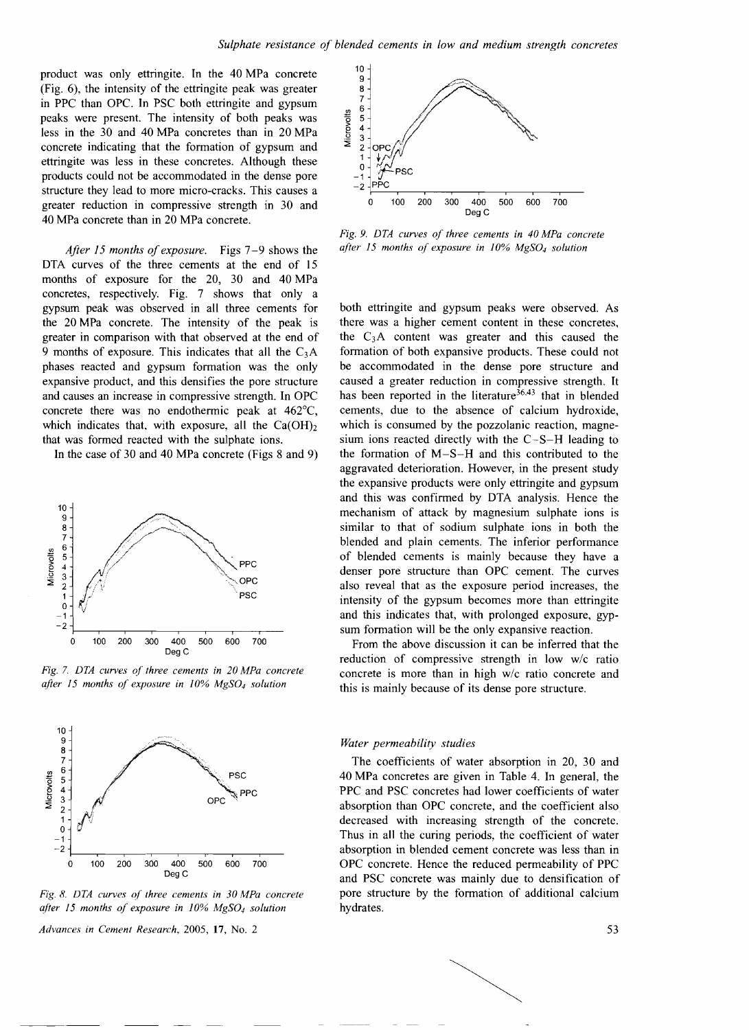product was only ettringite. In the 40 MPa concrete (Fig. 6), the intensity of the ettringite peak was greater in PPC than OPC. In PSC both ettringite and gypsum peaks were present. The intensity of both peaks was less in the 30 and 40 MPa concretes than in 20 MPa concrete indicating that the formation of gypsum and ettringite was less in these concretes. Although these products could not be accommodated in the dense pore structure they lead to more micro-cracks. This causes a greater reduction in compressive strength in 30 and 40 MPa concrete than in 20 MPa concrete.

*After* 15 *months of exposure.* Figs 7-9 shows the DTA curves of the three cements at the end of 15 months of exposure for the 20, 30 and 40 MPa concretes, respectively. Fig. 7 shows that only a gypsum peak was observed in all three cements for the 20 MPa concrete. The intensity of the peak is greater in comparison with that observed at the end of 9 months of exposure. This indicates that all the  $C_3A$ phases reacted and gypsum formation was the only expansive product, and this densifies the pore structure and causes an increase in compressive strength. In OPC concrete there was no endothermic peak at 462°C, which indicates that, with exposure, all the  $Ca(OH)_2$ that was formed reacted with the sulphate ions.

In the case of 30 and 40 MPa concrete (Figs 8 and 9)



*Fig.* 7. *DTA curves of three cements in 20 MPa concrete after* /5 *months of exposure in* /0% *MgS04 solution* 



*Fig.* 8. *DTA curves of three cements in 30 MPa concrete after* /5 *months of exposure in 10% MgS04 solution* 



*Fig.* 9. *DTA curves of three cements in 40 MPa concrete after* 15 *months of exposure in 10% MgS04 solution* 

both ettringite and gypsum peaks were observed. As there was a higher cement content in these concretes, the  $C_3$ A content was greater and this caused the formation of both expansive products. These could not be accommodated in the dense pore structure and caused a greater reduction in compressive strength. It has been reported in the literature<sup>36,43</sup> that in blended cements, due to the absence of calcium hydroxide, which is consumed by the pozzolanic reaction, magnesium ions reacted directly with the C-S-H leading to the formation of M-S-H and this contributed to the aggravated deterioration. However, in the present study the expansive products were only ettringite and gypsum and this was confirmed by DTA analysis. Hence the mechanism of attack by magnesium sulphate ions is similar to that of sodium sulphate ions in both the blended and plain cements. The inferior performance of blended cements is mainly because they have a denser pore structure than OPC cement. The curves also reveal that as the exposure period increases, the intensity of the gypsum becomes more than ettringite and this indicates that, with prolonged exposure, gypsum formation will be the only expansive reaction.

From the above discussion it can be inferred that the reduction of compressive strength in low w/c ratio concrete is more than in high w/c ratio concrete and this is mainly because of its dense pore structure.

#### *Water permeability studies*

The coefficients of water absorption in 20, 30 and 40 MPa concretes are given in Table 4. In general, the PPC and PSC concretes had lower coefficients of water absorption than OPC concrete, and the coefficient also decreased with increasing strength of the concrete. Thus in all the curing periods, the coefficient of water absorption in blended cement concrete was less than in OPC concrete. Hence the reduced permeability of PPC and PSC concrete was mainly due to densification of pore structure by the formation of additional calcium hydrates.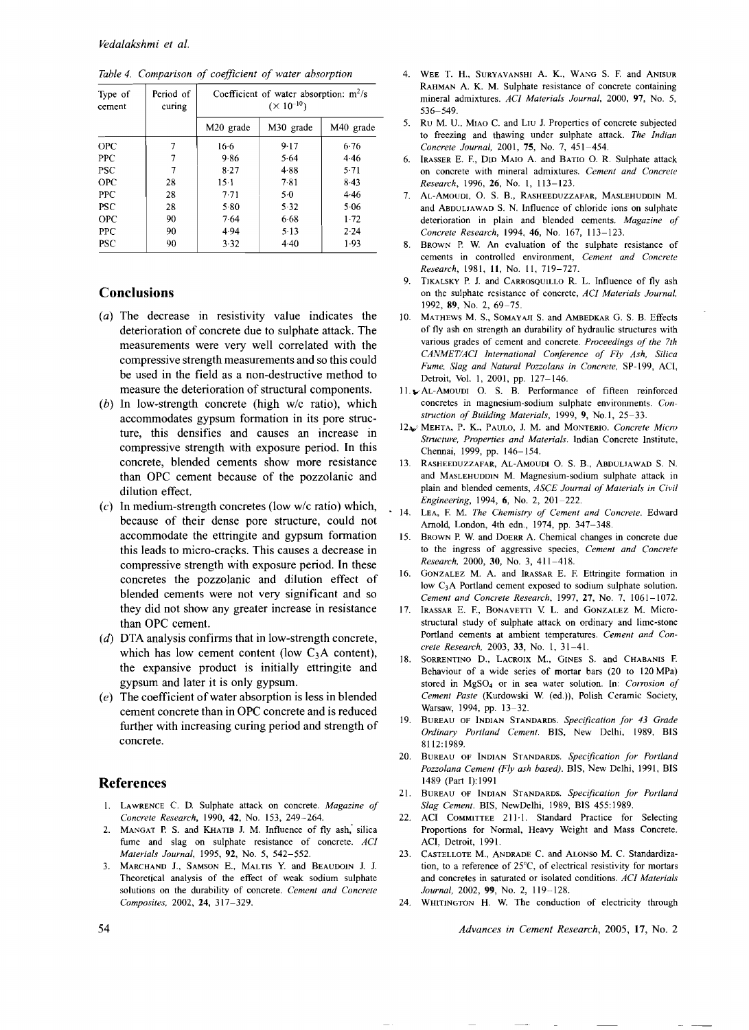| Type of<br>cement | Period of<br>curing | Coefficient of water absorption: $m^2/s$<br>$(\times 10^{-10})$ |           |                       |
|-------------------|---------------------|-----------------------------------------------------------------|-----------|-----------------------|
|                   |                     | M <sub>20</sub> grade                                           | M30 grade | M <sub>40</sub> grade |
| <b>OPC</b>        | 7                   | 16.6                                                            | 9.17      | 6.76                  |
| <b>PPC</b>        | 7                   | 9.86                                                            | 5.64      | 4.46                  |
| <b>PSC</b>        | 7                   | 8.27                                                            | 4.88      | 5.71                  |
| OPC               | 28                  | $15-1$                                                          | 7.81      | $8-43$                |
| <b>PPC</b>        | 28                  | $7-71$                                                          | 5.0       | 4.46                  |
| <b>PSC</b>        | 28                  | 5.80                                                            | 5.32      | 5.06                  |
| <b>OPC</b>        | 90                  | 7.64                                                            | 6.68      | 1.72                  |
| <b>PPC</b>        | 90                  | 4.94                                                            | 5.13      | 2.24                  |
| PSC               | 90                  | 3.32                                                            | $4-40$    | 1.93                  |

*Table* 4. *Comparison of coefficient of water absorption* 

# **Conclusions**

- $(a)$  The decrease in resistivity value indicates the deterioration of concrete due to sulphate attack. The measurements were very well correlated with the compressive strength measurements and so this could be used in the field as a non-destructive method to measure the deterioration of structural components.
- (b) In low-strength concrete (high  $w/c$  ratio), which accommodates gypsum formation in its pore structure, this densifies and causes an increase in compressive strength with exposure period. In this concrete, blended cements show more resistance than OPC cement because of the pozzolanic and dilution effect.
- (c) In medium-strength concretes (low *wi*c ratio) which, because of their dense pore structure, could not accommodate the ettringite and gypsum formation this leads to micro-cracks. This causes a decrease in compressive strength with exposure period. In these concretes the pozzolanic and dilution effect of blended cements were not very significant and so they did not show any greater increase in resistance than OPC cement.
- $(d)$  DTA analysis confirms that in low-strength concrete, which has low cement content (low  $C_3A$  content), the expansive product is initially ettringite and gypsum and later it is only gypsum.
- $(e)$  The coefficient of water absorption is less in blended cement concrete than in OPC concrete and is reduced further with increasing curing period and strength of concrete.

# **References**

- I. LAWRENCE C. D. Sulphate attack on concrete. *Magazine of Concrete Research,* 1990, 42, No. 153, 249-264.
- 2. MANGAT P. S. and KHATIB J. M. Influence of fly ash, silica fume and slag on sulphate resistance of concrete. *ACI Materials Journal*, 1995, 92, No. 5, 542-552.
- 3. MARCHAND J., SAMSON E., MALTIS Y. and BEAUDOIN J. J. Theoretical analysis of the effect of weak sodium sulphate solutions on the durability of concrete. *Cement and Concrete Composites.* 2002, 24, 317-329.
- 4. WEE T. H., SURYAVANSHI A. K., WANG S. E and ANISUR RAHMAN A. K. M. Sulphate resistance of concrete containing mineral admixtures. *ACI Materials Journal,* 2000, 97, No.5, 536-549.
- 5. Ru M. D., MIAO C. and LIU 1. Properties of concrete subjected to freezing and thawing under sulphate attack, *The Indian Concrete Journal, 2001, 75, No. 7, 451-454.*
- 6, IRASSER E. E, DID MAIO A. and BATIO O. R. Sulphate attack on concrete with mineral admixtures. *Cement and Concrete Research,* 1996,26, No. I, 113-123.
- 7. AL-AMOUDI, O. S. B., RASHEEDUZZAFAR, MASLEHUDDIN M. and ABDULJAWAD S, N. Influence of chloride ions on sulphate deterioration in plain and blended cements, *Magazine of Concrete Research,* 1994,46, No. 167,113-123.
- BROWN P. W. An evaluation of the sulphate resistance of cements in controlled environment, *Cement and Concrete Research,* 1981, **11,** No. 11,719-727,
- 9. TIKALSKY P. J. and CARROSQUILLO R. L. Influence of fly ash on the sulphate resistance of concrete, *ACI Materials Journal,*  1992, 89, No.2, 69-75.
- 10. MATHEWS M. S., SOMAYAJI S. and AMBEDKAR G. S. B. Effects of fly ash on strength an durability of hydraulic structures with various grades of cement and concrete. *Proceedings of the 7th CANMETIACI International Conference of Fly Ash, Silica Fume, Slag and Natural Pozzolans in Concrete,* SP-199, ACI, Detroit, Vol. 1,2001, pp. 127-146.
- 11. AL-AMOUDI O. S. B. Performance of fifteen reinforced *struction of Building Materials,*  1999, 9, No.1, 25-33. concretes in magnesium-sodium sulphate environments. *Con-*
- 12, MEHTA, P. K., PAULO, J. M. and MONTERIO. Concrete Micro *Structure. Properties and Materials.*  Indian Concrete Institute, Chennai, 1999, pp. 146-154.
- 13. RASHEEDUZZAFAR, AL-AMOUDI O. S. B., ABDULJAWAD S. N. and MASLEHUDDlN M. Magnesium-sodium sulphate attack in plain and blended cements, *ASCE Journal of Materials in Civil Engineering,* 1994, 6, No, 2, 201-222.
- 14. LEA, E M, *The Chemistry of Cement and Concrete.* Edward Arnold, London, 4th edn., 1974, pp. 347-348.
	- 15. BROWN P. W. and DOERR A. Chemical changes in concrete due to the ingress of aggressive species, *Cement and Concrete Research,* 2000, 30, No.3, 411-418.
	- 16. GONZALEZ M. A. and IRASSAR E. F. Ettringite formation in low C3A Portland cement exposed to sodium sulphate solution. *Cement and Concrete Research,* 1997,27, No.7, 1061-1072.
	- 17. IRASSAR E. F., BONAVETTI V. L. and GONZALEZ M. Microstructural study of sulphate attack on ordinary and lime-stone *crete Research,*  2003, 33, No. I, 31-41. Portland cements at ambient temperatures. *Cement and Con-*
	- 18. SORRENTINO D., LACROIX M., GINES S. and CHABANIS F. Behaviour of a wide series of mortar bars (20 to 120 MPa) stored in MgS04 or in sea water solution. In: *Cormsion of Cement Paste* (Kurdowski W. (ed.)), Polish Ceramic Society, Warsaw, 1994, pp. 13-32.
	- 19. BUREAU OF INDIAN STANDARDS. *Specification for* 43 *Grade Ordinary Portland Cement.* BIS, New Delhi, 1989, BlS 8112:1989.
	- 20. BUREAU OF INDIAN STANDARDS. *Specification for Portland Pozzolana Cement (Fly ash based).* BIS, New Delhi, 1991, BIS 1489 (Part 1):1991
	- 21. BUREAU OF INDIAN STANDARDS. *Specification for Portland Slag Cement.* BIS, NewDelhi, 1989, BlS 455: 1989.
	- 22. ACI COMMITTEE 211·1. Standard Practice for Selecting Proportions for Normal, Heavy Weight and Mass Concrete. ACI, Detroit, 1991.
	- 23. CASTELLOTE M., ANDRADE C. and ALONSO M. C. Standardization, to a reference of 25°C, of electrical resistivity for mortars and concretes in saturated or isolated conditions. *ACI Materials Journal*, 2002, 99, No. 2, 119-128.
	- 24. WHITINGTON H. W. The conduction of electricity through